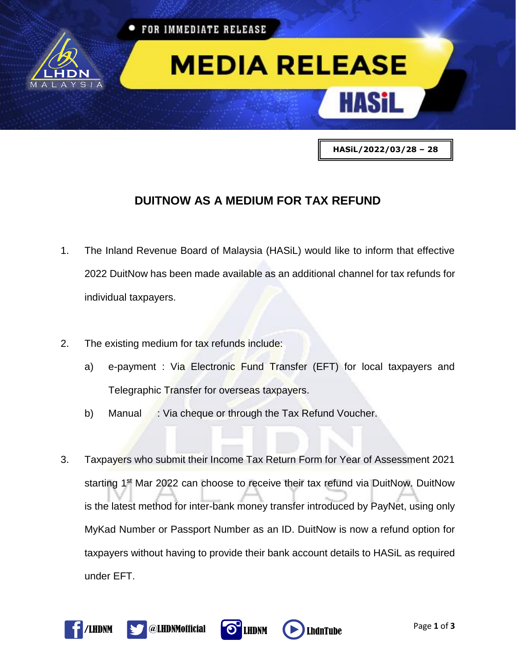

## **HASiL/2022/03/28 – 28**

## **DUITNOW AS A MEDIUM FOR TAX REFUND**

- 1. The Inland Revenue Board of Malaysia (HASiL) would like to inform that effective 2022 DuitNow has been made available as an additional channel for tax refunds for individual taxpayers.
- 2. The existing medium for tax refunds include:
	- a) e-payment : Via Electronic Fund Transfer (EFT) for local taxpayers and Telegraphic Transfer for overseas taxpayers.
	- b) Manual : Via cheque or through the Tax Refund Voucher.
- 3. Taxpayers who submit their Income Tax Return Form for Year of Assessment 2021 starting 1<sup>st</sup> Mar 2022 can choose to receive their tax refund via DuitNow. DuitNow is the latest method for inter-bank money transfer introduced by PayNet, using only MyKad Number or Passport Number as an ID. DuitNow is now a refund option for taxpayers without having to provide their bank account details to HASiL as required under EFT.





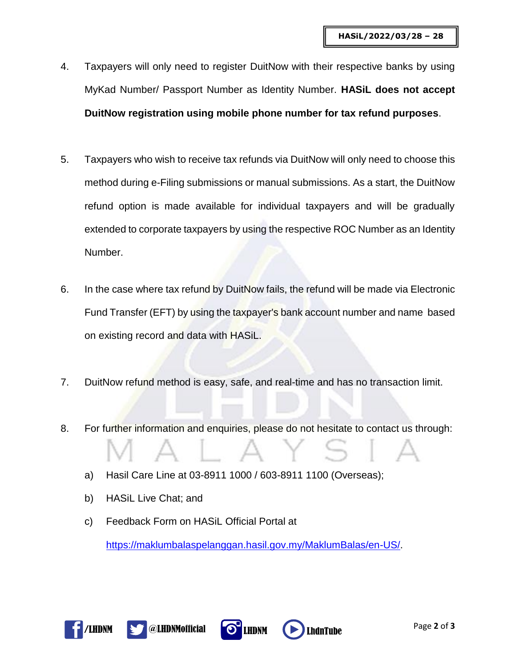- 4. Taxpayers will only need to register DuitNow with their respective banks by using MyKad Number/ Passport Number as Identity Number. **HASiL does not accept DuitNow registration using mobile phone number for tax refund purposes**.
- 5. Taxpayers who wish to receive tax refunds via DuitNow will only need to choose this method during e-Filing submissions or manual submissions. As a start, the DuitNow refund option is made available for individual taxpayers and will be gradually extended to corporate taxpayers by using the respective ROC Number as an Identity Number.
- 6. In the case where tax refund by DuitNow fails, the refund will be made via Electronic Fund Transfer (EFT) by using the taxpayer's bank account number and name based on existing record and data with HASiL.
- 7. DuitNow refund method is easy, safe, and real-time and has no transaction limit.
- 8. For further information and enquiries, please do not hesitate to contact us through:
	- a) Hasil Care Line at 03-8911 1000 / 603-8911 1100 (Overseas);
	- b) HASiL Live Chat; and
	- c) Feedback Form on HASiL Official Portal at

[https://maklumbalaspelanggan.hasil.gov.my/MaklumBalas/en-US/.](https://maklumbalaspelanggan.hasil.gov.my/MaklumBalas/en-US/)